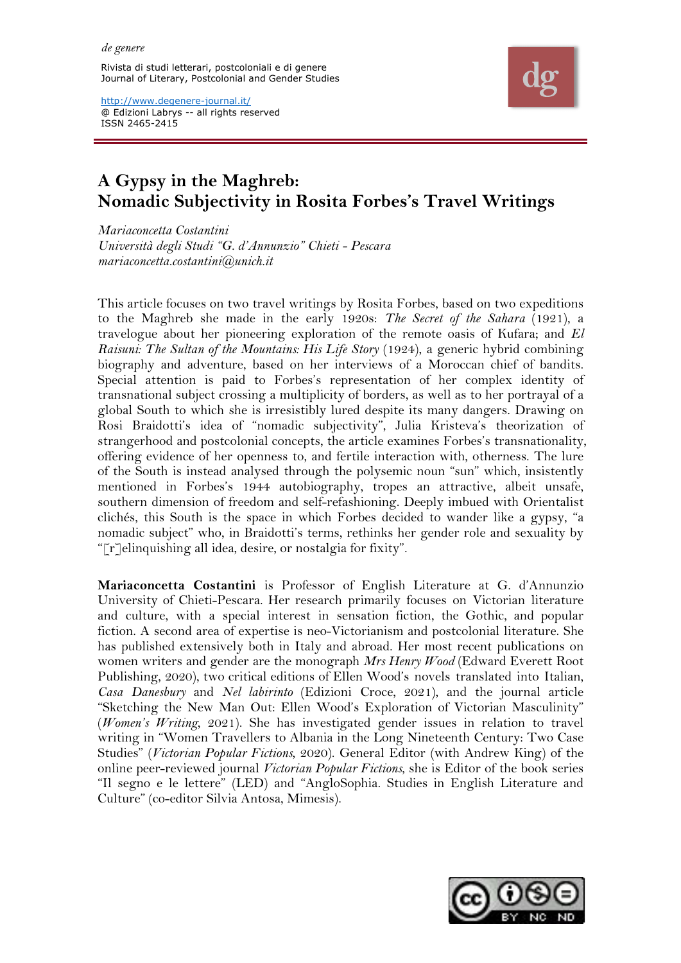Rivista di studi letterari, postcoloniali e di genere Journal of Literary, Postcolonial and Gender Studies



http://www.degenere-journal.it/ @ Edizioni Labrys -- all rights reserved ISSN 2465-2415

# **A Gypsy in the Maghreb: Nomadic Subjectivity in Rosita Forbes's Travel Writings**

*Mariaconcetta Costantini Università degli Studi "G. d'Annunzio" Chieti - Pescara mariaconcetta.costantini@unich.it*

This article focuses on two travel writings by Rosita Forbes, based on two expeditions to the Maghreb she made in the early 1920s: *The Secret of the Sahara* (1921), a travelogue about her pioneering exploration of the remote oasis of Kufara; and *El Raisuni: The Sultan of the Mountains: His Life Story* (1924), a generic hybrid combining biography and adventure, based on her interviews of a Moroccan chief of bandits. Special attention is paid to Forbes's representation of her complex identity of transnational subject crossing a multiplicity of borders, as well as to her portrayal of a global South to which she is irresistibly lured despite its many dangers. Drawing on Rosi Braidotti's idea of "nomadic subjectivity", Julia Kristeva's theorization of strangerhood and postcolonial concepts, the article examines Forbes's transnationality, offering evidence of her openness to, and fertile interaction with, otherness. The lure of the South is instead analysed through the polysemic noun "sun" which, insistently mentioned in Forbes's 1944 autobiography, tropes an attractive, albeit unsafe, southern dimension of freedom and self-refashioning. Deeply imbued with Orientalist clichés, this South is the space in which Forbes decided to wander like a gypsy, "a nomadic subject" who, in Braidotti's terms, rethinks her gender role and sexuality by "[r]elinquishing all idea, desire, or nostalgia for fixity".

**Mariaconcetta Costantini** is Professor of English Literature at G. d'Annunzio University of Chieti-Pescara. Her research primarily focuses on Victorian literature and culture, with a special interest in sensation fiction, the Gothic, and popular fiction. A second area of expertise is neo-Victorianism and postcolonial literature. She has published extensively both in Italy and abroad. Her most recent publications on women writers and gender are the monograph *Mrs Henry Wood* (Edward Everett Root Publishing, 2020), two critical editions of Ellen Wood's novels translated into Italian, *Casa Danesbury* and *Nel labirinto* (Edizioni Croce, 2021), and the journal article "Sketching the New Man Out: Ellen Wood's Exploration of Victorian Masculinity" (*Women's Writing*, 2021). She has investigated gender issues in relation to travel writing in "Women Travellers to Albania in the Long Nineteenth Century: Two Case Studies" (*Victorian Popular Fictions*, 2020). General Editor (with Andrew King) of the online peer-reviewed journal *Victorian Popular Fictions*, she is Editor of the book series "Il segno e le lettere" (LED) and "AngloSophia. Studies in English Literature and Culture" (co-editor Silvia Antosa, Mimesis).

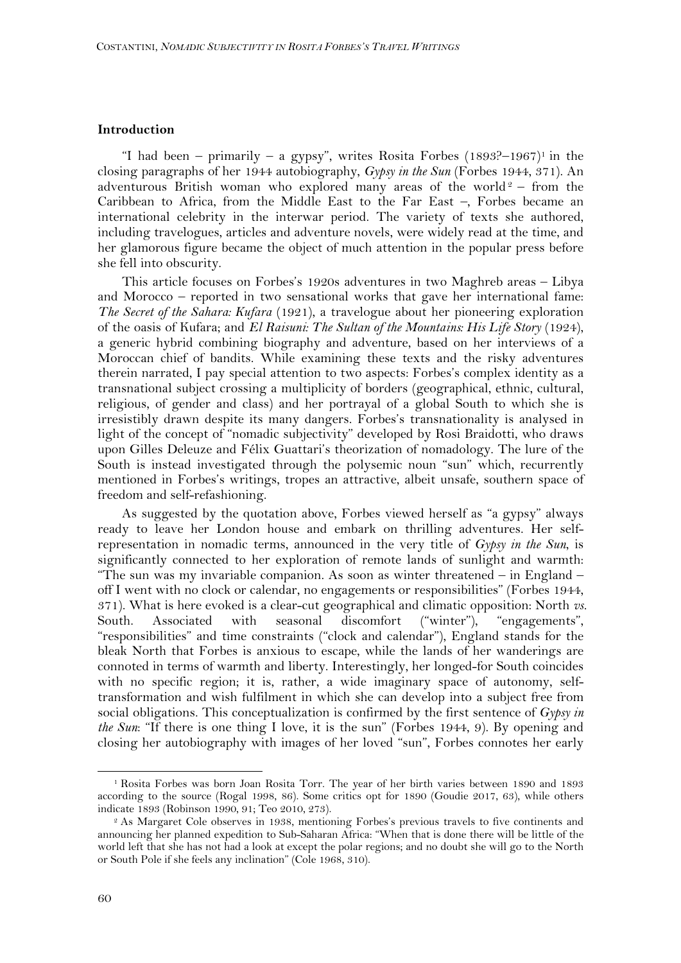## **Introduction**

"I had been – primarily – a gypsy", writes Rosita Forbes  $(1893?–1967)$ <sup>1</sup> in the closing paragraphs of her 1944 autobiography, *Gypsy in the Sun* (Forbes 1944, 371). An adventurous British woman who explored many areas of the world<sup>2</sup> – from the Caribbean to Africa, from the Middle East to the Far East –, Forbes became an international celebrity in the interwar period. The variety of texts she authored, including travelogues, articles and adventure novels, were widely read at the time, and her glamorous figure became the object of much attention in the popular press before she fell into obscurity.

This article focuses on Forbes's 1920s adventures in two Maghreb areas – Libya and Morocco – reported in two sensational works that gave her international fame: *The Secret of the Sahara: Kufara* (1921), a travelogue about her pioneering exploration of the oasis of Kufara; and *El Raisuni: The Sultan of the Mountains: His Life Story* (1924), a generic hybrid combining biography and adventure, based on her interviews of a Moroccan chief of bandits. While examining these texts and the risky adventures therein narrated, I pay special attention to two aspects: Forbes's complex identity as a transnational subject crossing a multiplicity of borders (geographical, ethnic, cultural, religious, of gender and class) and her portrayal of a global South to which she is irresistibly drawn despite its many dangers. Forbes's transnationality is analysed in light of the concept of "nomadic subjectivity" developed by Rosi Braidotti, who draws upon Gilles Deleuze and Félix Guattari's theorization of nomadology. The lure of the South is instead investigated through the polysemic noun "sun" which, recurrently mentioned in Forbes's writings, tropes an attractive, albeit unsafe, southern space of freedom and self-refashioning.

As suggested by the quotation above, Forbes viewed herself as "a gypsy" always ready to leave her London house and embark on thrilling adventures. Her selfrepresentation in nomadic terms, announced in the very title of *Gypsy in the Sun*, is significantly connected to her exploration of remote lands of sunlight and warmth: "The sun was my invariable companion. As soon as winter threatened  $-$  in England  $$ off I went with no clock or calendar, no engagements or responsibilities" (Forbes 1944, 371). What is here evoked is a clear-cut geographical and climatic opposition: North *vs.* South. Associated with seasonal discomfort ("winter"), "engagements", "responsibilities" and time constraints ("clock and calendar"), England stands for the bleak North that Forbes is anxious to escape, while the lands of her wanderings are connoted in terms of warmth and liberty. Interestingly, her longed-for South coincides with no specific region; it is, rather, a wide imaginary space of autonomy, selftransformation and wish fulfilment in which she can develop into a subject free from social obligations. This conceptualization is confirmed by the first sentence of *Gypsy in the Sun*: "If there is one thing I love, it is the sun" (Forbes 1944, 9). By opening and closing her autobiography with images of her loved "sun", Forbes connotes her early

<sup>1</sup> Rosita Forbes was born Joan Rosita Torr. The year of her birth varies between 1890 and 1893 according to the source (Rogal 1998, 86). Some critics opt for 1890 (Goudie 2017, 63), while others indicate 1893 (Robinson 1990, 91; Teo 2010, 273).

<sup>2</sup> As Margaret Cole observes in 1938, mentioning Forbes's previous travels to five continents and announcing her planned expedition to Sub-Saharan Africa: "When that is done there will be little of the world left that she has not had a look at except the polar regions; and no doubt she will go to the North or South Pole if she feels any inclination" (Cole 1968, 310).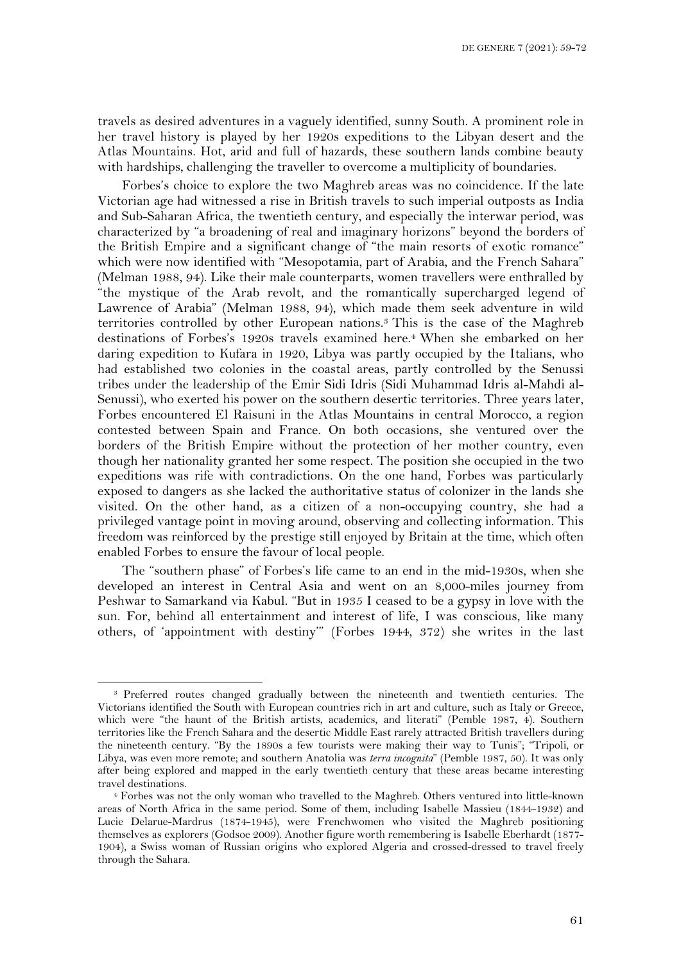travels as desired adventures in a vaguely identified, sunny South. A prominent role in her travel history is played by her 1920s expeditions to the Libyan desert and the Atlas Mountains. Hot, arid and full of hazards, these southern lands combine beauty with hardships, challenging the traveller to overcome a multiplicity of boundaries.

Forbes's choice to explore the two Maghreb areas was no coincidence. If the late Victorian age had witnessed a rise in British travels to such imperial outposts as India and Sub-Saharan Africa, the twentieth century, and especially the interwar period, was characterized by "a broadening of real and imaginary horizons" beyond the borders of the British Empire and a significant change of "the main resorts of exotic romance" which were now identified with "Mesopotamia, part of Arabia, and the French Sahara" (Melman 1988, 94). Like their male counterparts, women travellers were enthralled by "the mystique of the Arab revolt, and the romantically supercharged legend of Lawrence of Arabia" (Melman 1988, 94), which made them seek adventure in wild territories controlled by other European nations.3 This is the case of the Maghreb destinations of Forbes's 1920s travels examined here. <sup>4</sup> When she embarked on her daring expedition to Kufara in 1920, Libya was partly occupied by the Italians, who had established two colonies in the coastal areas, partly controlled by the Senussi tribes under the leadership of the Emir Sidi Idris (Sidi Muhammad Idris al-Mahdi al-Senussi), who exerted his power on the southern desertic territories. Three years later, Forbes encountered El Raisuni in the Atlas Mountains in central Morocco, a region contested between Spain and France. On both occasions, she ventured over the borders of the British Empire without the protection of her mother country, even though her nationality granted her some respect. The position she occupied in the two expeditions was rife with contradictions. On the one hand, Forbes was particularly exposed to dangers as she lacked the authoritative status of colonizer in the lands she visited. On the other hand, as a citizen of a non-occupying country, she had a privileged vantage point in moving around, observing and collecting information. This freedom was reinforced by the prestige still enjoyed by Britain at the time, which often enabled Forbes to ensure the favour of local people.

The "southern phase" of Forbes's life came to an end in the mid-1930s, when she developed an interest in Central Asia and went on an 8,000-miles journey from Peshwar to Samarkand via Kabul. "But in 1935 I ceased to be a gypsy in love with the sun. For, behind all entertainment and interest of life, I was conscious, like many others, of 'appointment with destiny'" (Forbes 1944, 372) she writes in the last

<sup>3</sup> Preferred routes changed gradually between the nineteenth and twentieth centuries. The Victorians identified the South with European countries rich in art and culture, such as Italy or Greece, which were "the haunt of the British artists, academics, and literati" (Pemble 1987, 4). Southern territories like the French Sahara and the desertic Middle East rarely attracted British travellers during the nineteenth century. "By the 1890s a few tourists were making their way to Tunis"; "Tripoli, or Libya, was even more remote; and southern Anatolia was *terra incognita*" (Pemble 1987, 50). It was only after being explored and mapped in the early twentieth century that these areas became interesting travel destinations. 4 Forbes was not the only woman who travelled to the Maghreb. Others ventured into little-known

areas of North Africa in the same period. Some of them, including Isabelle Massieu (1844-1932) and Lucie Delarue-Mardrus (1874-1945), were Frenchwomen who visited the Maghreb positioning themselves as explorers (Godsoe 2009). Another figure worth remembering is Isabelle Eberhardt (1877- 1904), a Swiss woman of Russian origins who explored Algeria and crossed-dressed to travel freely through the Sahara.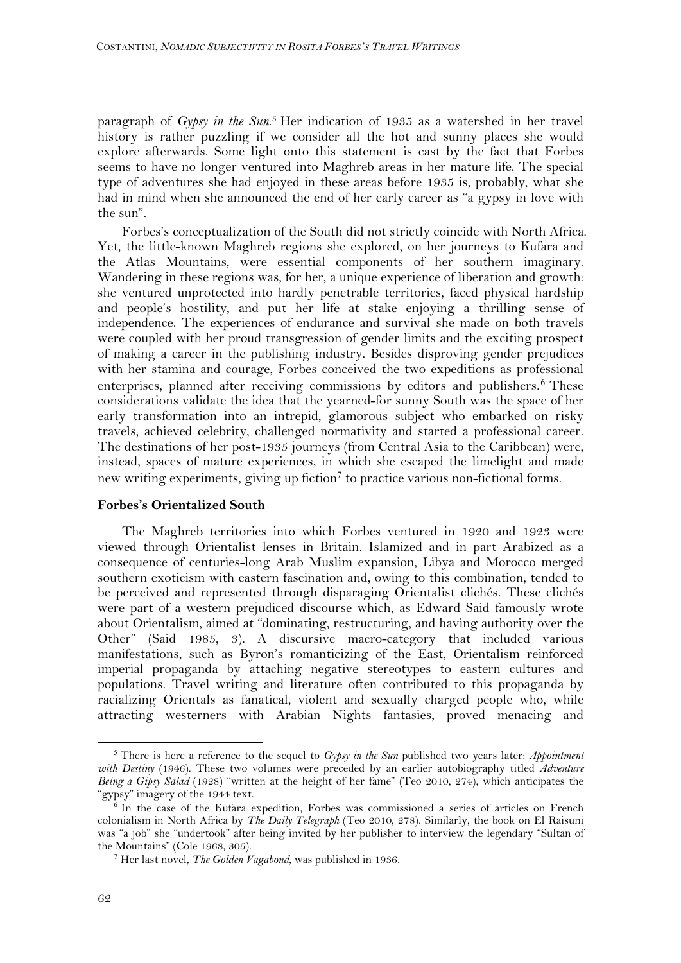paragraph of *Gypsy in the Sun*.<sup>5</sup> Her indication of 1935 as a watershed in her travel history is rather puzzling if we consider all the hot and sunny places she would explore afterwards. Some light onto this statement is cast by the fact that Forbes seems to have no longer ventured into Maghreb areas in her mature life. The special type of adventures she had enjoyed in these areas before 1935 is, probably, what she had in mind when she announced the end of her early career as "a gypsy in love with the sun".

Forbes's conceptualization of the South did not strictly coincide with North Africa. Yet, the little-known Maghreb regions she explored, on her journeys to Kufara and the Atlas Mountains, were essential components of her southern imaginary. Wandering in these regions was, for her, a unique experience of liberation and growth: she ventured unprotected into hardly penetrable territories, faced physical hardship and people's hostility, and put her life at stake enjoying a thrilling sense of independence. The experiences of endurance and survival she made on both travels were coupled with her proud transgression of gender limits and the exciting prospect of making a career in the publishing industry. Besides disproving gender prejudices with her stamina and courage, Forbes conceived the two expeditions as professional enterprises, planned after receiving commissions by editors and publishers.<sup>6</sup> These considerations validate the idea that the yearned-for sunny South was the space of her early transformation into an intrepid, glamorous subject who embarked on risky travels, achieved celebrity, challenged normativity and started a professional career. The destinations of her post-1935 journeys (from Central Asia to the Caribbean) were, instead, spaces of mature experiences, in which she escaped the limelight and made new writing experiments, giving up fiction<sup>7</sup> to practice various non-fictional forms.

### **Forbes's Orientalized South**

The Maghreb territories into which Forbes ventured in 1920 and 1923 were viewed through Orientalist lenses in Britain. Islamized and in part Arabized as a consequence of centuries-long Arab Muslim expansion, Libya and Morocco merged southern exoticism with eastern fascination and, owing to this combination, tended to be perceived and represented through disparaging Orientalist clichés. These clichés were part of a western prejudiced discourse which, as Edward Said famously wrote about Orientalism, aimed at "dominating, restructuring, and having authority over the Other" (Said 1985, 3). A discursive macro-category that included various manifestations, such as Byron's romanticizing of the East, Orientalism reinforced imperial propaganda by attaching negative stereotypes to eastern cultures and populations. Travel writing and literature often contributed to this propaganda by racializing Orientals as fanatical, violent and sexually charged people who, while attracting westerners with Arabian Nights fantasies, proved menacing and

<sup>5</sup> There is here a reference to the sequel to *Gypsy in the Sun* published two years later: *Appointment with Destiny* (1946). These two volumes were preceded by an earlier autobiography titled *Adventure Being a Gipsy Salad* (1928) "written at the height of her fame" (Teo 2010, 274), which anticipates the "gypsy" imagery of the 1944 text.

 $\overline{6}$  In the case of the Kufara expedition, Forbes was commissioned a series of articles on French colonialism in North Africa by *The Daily Telegraph* (Teo 2010, 278). Similarly, the book on El Raisuni was "a job" she "undertook" after being invited by her publisher to interview the legendary "Sultan of the Mountains" (Cole 1968, 305).

<sup>7</sup> Her last novel, *The Golden Vagabond*, was published in 1936.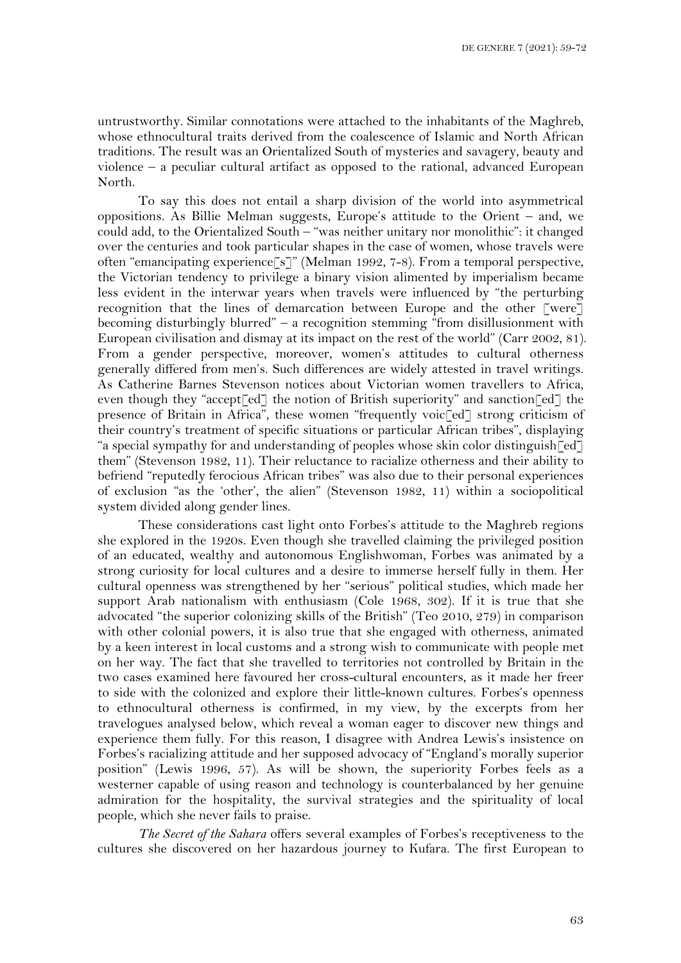untrustworthy. Similar connotations were attached to the inhabitants of the Maghreb, whose ethnocultural traits derived from the coalescence of Islamic and North African traditions. The result was an Orientalized South of mysteries and savagery, beauty and violence – a peculiar cultural artifact as opposed to the rational, advanced European North.

To say this does not entail a sharp division of the world into asymmetrical oppositions. As Billie Melman suggests, Europe's attitude to the Orient – and, we could add, to the Orientalized South – "was neither unitary nor monolithic": it changed over the centuries and took particular shapes in the case of women, whose travels were often "emancipating experience[s]" (Melman 1992, 7-8). From a temporal perspective, the Victorian tendency to privilege a binary vision alimented by imperialism became less evident in the interwar years when travels were influenced by "the perturbing recognition that the lines of demarcation between Europe and the other [were] becoming disturbingly blurred" – a recognition stemming "from disillusionment with European civilisation and dismay at its impact on the rest of the world" (Carr 2002, 81). From a gender perspective, moreover, women's attitudes to cultural otherness generally differed from men's. Such differences are widely attested in travel writings. As Catherine Barnes Stevenson notices about Victorian women travellers to Africa, even though they "accept<sup>[ed]</sup> the notion of British superiority" and sanction<sup>[ed]</sup> the presence of Britain in Africa", these women "frequently voic<sup>[ed]</sup> strong criticism of their country's treatment of specific situations or particular African tribes", displaying "a special sympathy for and understanding of peoples whose skin color distinguish  $\lceil ed \rceil$ them" (Stevenson 1982, 11). Their reluctance to racialize otherness and their ability to befriend "reputedly ferocious African tribes" was also due to their personal experiences of exclusion "as the 'other', the alien" (Stevenson 1982, 11) within a sociopolitical system divided along gender lines.

These considerations cast light onto Forbes's attitude to the Maghreb regions she explored in the 1920s. Even though she travelled claiming the privileged position of an educated, wealthy and autonomous Englishwoman, Forbes was animated by a strong curiosity for local cultures and a desire to immerse herself fully in them. Her cultural openness was strengthened by her "serious" political studies, which made her support Arab nationalism with enthusiasm (Cole 1968, 302). If it is true that she advocated "the superior colonizing skills of the British" (Teo 2010, 279) in comparison with other colonial powers, it is also true that she engaged with otherness, animated by a keen interest in local customs and a strong wish to communicate with people met on her way. The fact that she travelled to territories not controlled by Britain in the two cases examined here favoured her cross-cultural encounters, as it made her freer to side with the colonized and explore their little-known cultures. Forbes's openness to ethnocultural otherness is confirmed, in my view, by the excerpts from her travelogues analysed below, which reveal a woman eager to discover new things and experience them fully. For this reason, I disagree with Andrea Lewis's insistence on Forbes's racializing attitude and her supposed advocacy of "England's morally superior position" (Lewis 1996, 57). As will be shown, the superiority Forbes feels as a westerner capable of using reason and technology is counterbalanced by her genuine admiration for the hospitality, the survival strategies and the spirituality of local people, which she never fails to praise.

*The Secret of the Sahara* offers several examples of Forbes's receptiveness to the cultures she discovered on her hazardous journey to Kufara. The first European to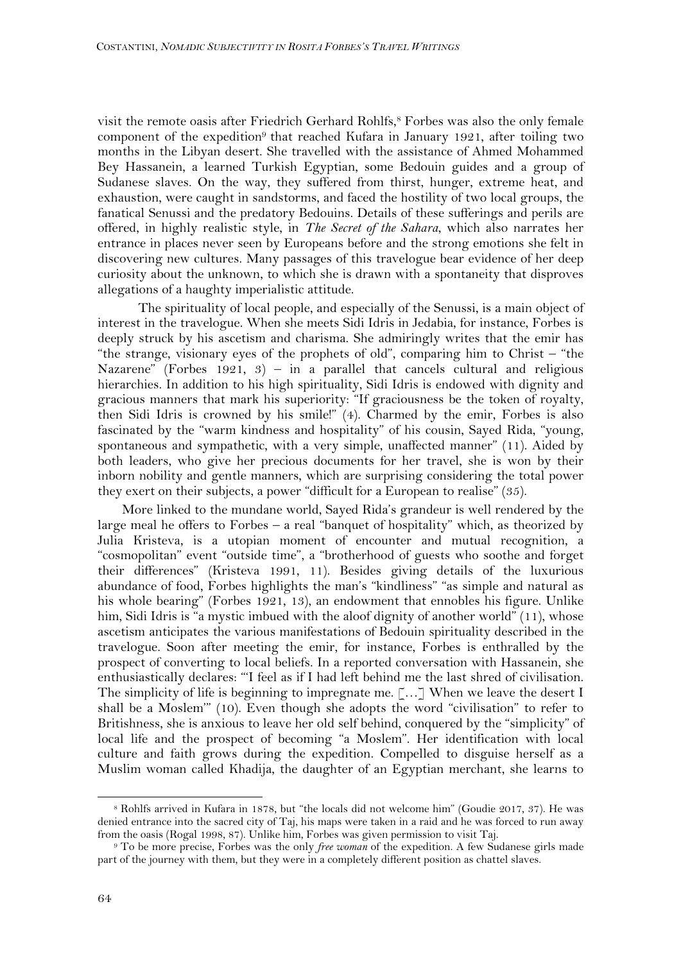visit the remote oasis after Friedrich Gerhard Rohlfs,<sup>8</sup> Forbes was also the only female component of the expedition<sup>9</sup> that reached Kufara in January 1921, after toiling two months in the Libyan desert. She travelled with the assistance of Ahmed Mohammed Bey Hassanein, a learned Turkish Egyptian, some Bedouin guides and a group of Sudanese slaves. On the way, they suffered from thirst, hunger, extreme heat, and exhaustion, were caught in sandstorms, and faced the hostility of two local groups, the fanatical Senussi and the predatory Bedouins. Details of these sufferings and perils are offered, in highly realistic style, in *The Secret of the Sahara*, which also narrates her entrance in places never seen by Europeans before and the strong emotions she felt in discovering new cultures. Many passages of this travelogue bear evidence of her deep curiosity about the unknown, to which she is drawn with a spontaneity that disproves allegations of a haughty imperialistic attitude.

The spirituality of local people, and especially of the Senussi, is a main object of interest in the travelogue. When she meets Sidi Idris in Jedabia, for instance, Forbes is deeply struck by his ascetism and charisma. She admiringly writes that the emir has "the strange, visionary eyes of the prophets of old", comparing him to Christ – "the Nazarene" (Forbes 1921, 3) – in a parallel that cancels cultural and religious hierarchies. In addition to his high spirituality, Sidi Idris is endowed with dignity and gracious manners that mark his superiority: "If graciousness be the token of royalty, then Sidi Idris is crowned by his smile!" (4). Charmed by the emir, Forbes is also fascinated by the "warm kindness and hospitality" of his cousin, Sayed Rida, "young, spontaneous and sympathetic, with a very simple, unaffected manner" (11). Aided by both leaders, who give her precious documents for her travel, she is won by their inborn nobility and gentle manners, which are surprising considering the total power they exert on their subjects, a power "difficult for a European to realise" (35).

More linked to the mundane world, Sayed Rida's grandeur is well rendered by the large meal he offers to Forbes – a real "banquet of hospitality" which, as theorized by Julia Kristeva, is a utopian moment of encounter and mutual recognition, a "cosmopolitan" event "outside time", a "brotherhood of guests who soothe and forget their differences" (Kristeva 1991, 11). Besides giving details of the luxurious abundance of food, Forbes highlights the man's "kindliness" "as simple and natural as his whole bearing" (Forbes 1921, 13), an endowment that ennobles his figure. Unlike him, Sidi Idris is "a mystic imbued with the aloof dignity of another world" (11), whose ascetism anticipates the various manifestations of Bedouin spirituality described in the travelogue. Soon after meeting the emir, for instance, Forbes is enthralled by the prospect of converting to local beliefs. In a reported conversation with Hassanein, she enthusiastically declares: "'I feel as if I had left behind me the last shred of civilisation. The simplicity of life is beginning to impregnate me. [...] When we leave the desert I shall be a Moslem'" (10). Even though she adopts the word "civilisation" to refer to Britishness, she is anxious to leave her old self behind, conquered by the "simplicity" of local life and the prospect of becoming "a Moslem". Her identification with local culture and faith grows during the expedition. Compelled to disguise herself as a Muslim woman called Khadija, the daughter of an Egyptian merchant, she learns to

<sup>8</sup> Rohlfs arrived in Kufara in 1878, but "the locals did not welcome him" (Goudie 2017, 37). He was denied entrance into the sacred city of Taj, his maps were taken in a raid and he was forced to run away from the oasis (Rogal 1998, 87). Unlike him, Forbes was given permission to visit Taj.

<sup>9</sup> To be more precise, Forbes was the only *free woman* of the expedition. A few Sudanese girls made part of the journey with them, but they were in a completely different position as chattel slaves.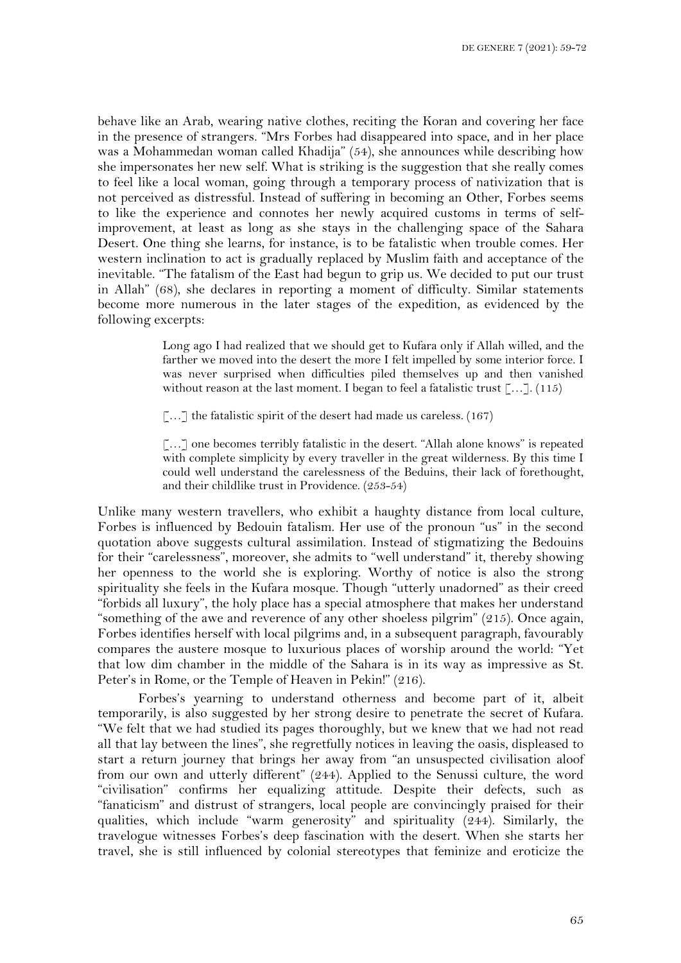behave like an Arab, wearing native clothes, reciting the Koran and covering her face in the presence of strangers. "Mrs Forbes had disappeared into space, and in her place was a Mohammedan woman called Khadija" (54), she announces while describing how she impersonates her new self. What is striking is the suggestion that she really comes to feel like a local woman, going through a temporary process of nativization that is not perceived as distressful. Instead of suffering in becoming an Other, Forbes seems to like the experience and connotes her newly acquired customs in terms of selfimprovement, at least as long as she stays in the challenging space of the Sahara Desert. One thing she learns, for instance, is to be fatalistic when trouble comes. Her western inclination to act is gradually replaced by Muslim faith and acceptance of the inevitable. "The fatalism of the East had begun to grip us. We decided to put our trust in Allah" (68), she declares in reporting a moment of difficulty. Similar statements become more numerous in the later stages of the expedition, as evidenced by the following excerpts:

> Long ago I had realized that we should get to Kufara only if Allah willed, and the farther we moved into the desert the more I felt impelled by some interior force. I was never surprised when difficulties piled themselves up and then vanished without reason at the last moment. I began to feel a fatalistic trust [...]. (115)

 $\lbrack \ldots \rbrack$  the fatalistic spirit of the desert had made us careless. (167)

[…] one becomes terribly fatalistic in the desert. "Allah alone knows" is repeated with complete simplicity by every traveller in the great wilderness. By this time I could well understand the carelessness of the Beduins, their lack of forethought, and their childlike trust in Providence. (253-54)

Unlike many western travellers, who exhibit a haughty distance from local culture, Forbes is influenced by Bedouin fatalism. Her use of the pronoun "us" in the second quotation above suggests cultural assimilation. Instead of stigmatizing the Bedouins for their "carelessness", moreover, she admits to "well understand" it, thereby showing her openness to the world she is exploring. Worthy of notice is also the strong spirituality she feels in the Kufara mosque. Though "utterly unadorned" as their creed "forbids all luxury", the holy place has a special atmosphere that makes her understand "something of the awe and reverence of any other shoeless pilgrim" (215). Once again, Forbes identifies herself with local pilgrims and, in a subsequent paragraph, favourably compares the austere mosque to luxurious places of worship around the world: "Yet that low dim chamber in the middle of the Sahara is in its way as impressive as St. Peter's in Rome, or the Temple of Heaven in Pekin!" (216).

Forbes's yearning to understand otherness and become part of it, albeit temporarily, is also suggested by her strong desire to penetrate the secret of Kufara. "We felt that we had studied its pages thoroughly, but we knew that we had not read all that lay between the lines", she regretfully notices in leaving the oasis, displeased to start a return journey that brings her away from "an unsuspected civilisation aloof from our own and utterly different" (244). Applied to the Senussi culture, the word "civilisation" confirms her equalizing attitude. Despite their defects, such as "fanaticism" and distrust of strangers, local people are convincingly praised for their qualities, which include "warm generosity" and spirituality (244). Similarly, the travelogue witnesses Forbes's deep fascination with the desert. When she starts her travel, she is still influenced by colonial stereotypes that feminize and eroticize the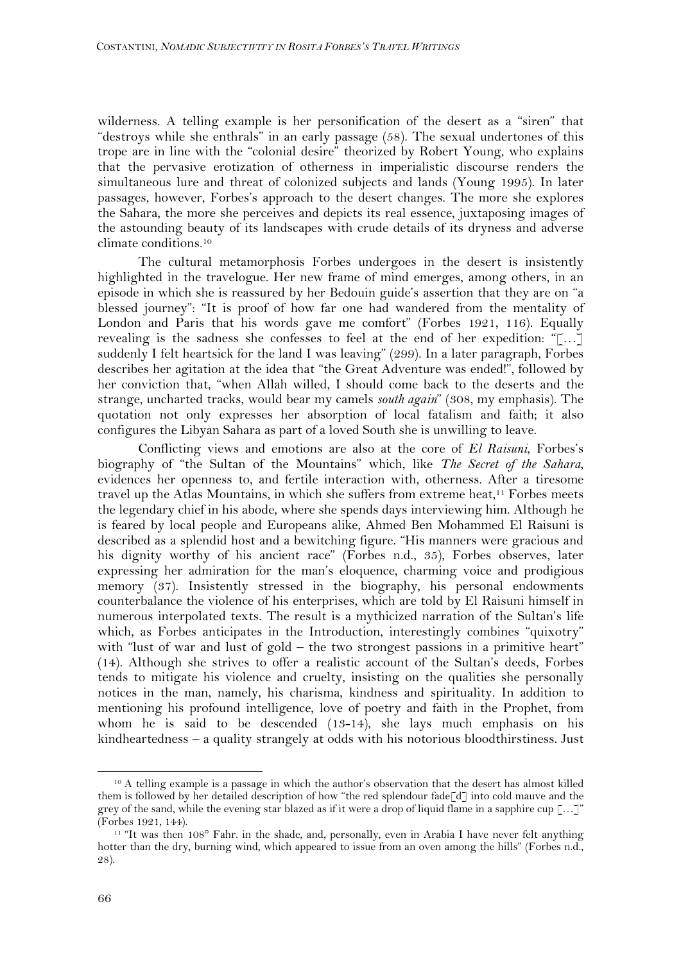wilderness. A telling example is her personification of the desert as a "siren" that "destroys while she enthrals" in an early passage (58). The sexual undertones of this trope are in line with the "colonial desire" theorized by Robert Young, who explains that the pervasive erotization of otherness in imperialistic discourse renders the simultaneous lure and threat of colonized subjects and lands (Young 1995). In later passages, however, Forbes's approach to the desert changes. The more she explores the Sahara, the more she perceives and depicts its real essence, juxtaposing images of the astounding beauty of its landscapes with crude details of its dryness and adverse climate conditions. 10

The cultural metamorphosis Forbes undergoes in the desert is insistently highlighted in the travelogue. Her new frame of mind emerges, among others, in an episode in which she is reassured by her Bedouin guide's assertion that they are on "a blessed journey": "It is proof of how far one had wandered from the mentality of London and Paris that his words gave me comfort" (Forbes 1921, 116). Equally revealing is the sadness she confesses to feel at the end of her expedition: "[…] suddenly I felt heartsick for the land I was leaving" (299). In a later paragraph, Forbes describes her agitation at the idea that "the Great Adventure was ended!", followed by her conviction that, "when Allah willed, I should come back to the deserts and the strange, uncharted tracks, would bear my camels *south again*" (308, my emphasis). The quotation not only expresses her absorption of local fatalism and faith; it also configures the Libyan Sahara as part of a loved South she is unwilling to leave.

Conflicting views and emotions are also at the core of *El Raisuni*, Forbes's biography of "the Sultan of the Mountains" which, like *The Secret of the Sahara*, evidences her openness to, and fertile interaction with, otherness. After a tiresome travel up the Atlas Mountains, in which she suffers from extreme heat,<sup>11</sup> Forbes meets the legendary chief in his abode, where she spends days interviewing him. Although he is feared by local people and Europeans alike, Ahmed Ben Mohammed El Raisuni is described as a splendid host and a bewitching figure. "His manners were gracious and his dignity worthy of his ancient race" (Forbes n.d., 35), Forbes observes, later expressing her admiration for the man's eloquence, charming voice and prodigious memory (37). Insistently stressed in the biography, his personal endowments counterbalance the violence of his enterprises, which are told by El Raisuni himself in numerous interpolated texts. The result is a mythicized narration of the Sultan's life which, as Forbes anticipates in the Introduction, interestingly combines "quixotry" with "lust of war and lust of gold – the two strongest passions in a primitive heart" (14). Although she strives to offer a realistic account of the Sultan's deeds, Forbes tends to mitigate his violence and cruelty, insisting on the qualities she personally notices in the man, namely, his charisma, kindness and spirituality. In addition to mentioning his profound intelligence, love of poetry and faith in the Prophet, from whom he is said to be descended (13-14), she lays much emphasis on his kindheartedness – a quality strangely at odds with his notorious bloodthirstiness. Just

<sup>10</sup> A telling example is a passage in which the author's observation that the desert has almost killed them is followed by her detailed description of how "the red splendour fade[d] into cold mauve and the grey of the sand, while the evening star blazed as if it were a drop of liquid flame in a sapphire cup […]" (Forbes 1921, 144).

<sup>11</sup> "It was then 108° Fahr. in the shade, and, personally, even in Arabia I have never felt anything hotter than the dry, burning wind, which appeared to issue from an oven among the hills" (Forbes n.d., 28).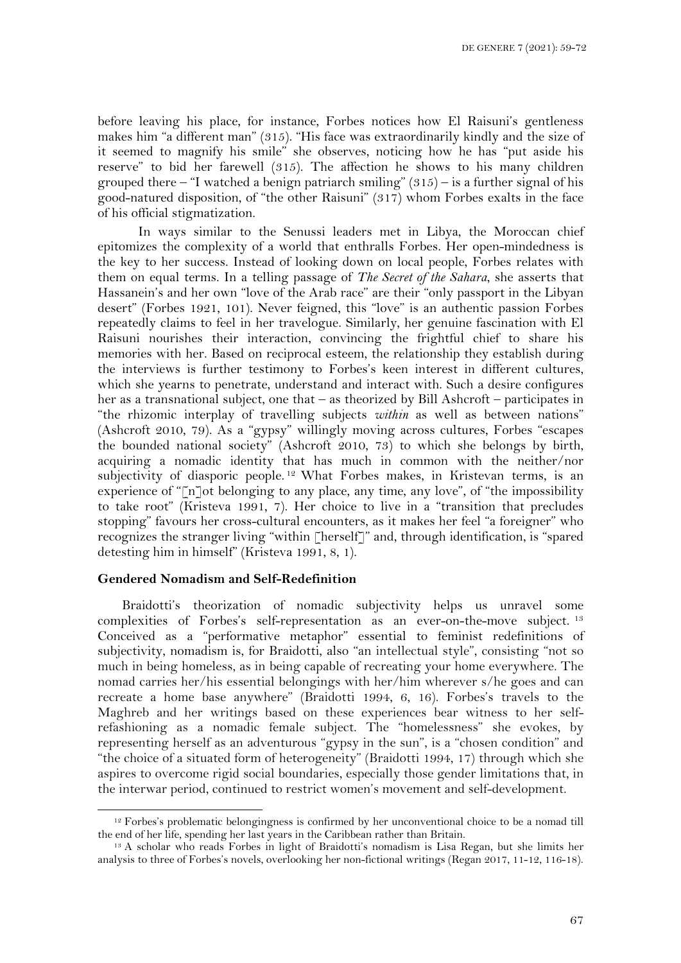before leaving his place, for instance, Forbes notices how El Raisuni's gentleness makes him "a different man" (315). "His face was extraordinarily kindly and the size of it seemed to magnify his smile" she observes, noticing how he has "put aside his reserve" to bid her farewell (315). The affection he shows to his many children grouped there – "I watched a benign patriarch smiling"  $(315)$  – is a further signal of his good-natured disposition, of "the other Raisuni" (317) whom Forbes exalts in the face of his official stigmatization.

In ways similar to the Senussi leaders met in Libya, the Moroccan chief epitomizes the complexity of a world that enthralls Forbes. Her open-mindedness is the key to her success. Instead of looking down on local people, Forbes relates with them on equal terms. In a telling passage of *The Secret of the Sahara*, she asserts that Hassanein's and her own "love of the Arab race" are their "only passport in the Libyan desert" (Forbes 1921, 101). Never feigned, this "love" is an authentic passion Forbes repeatedly claims to feel in her travelogue. Similarly, her genuine fascination with El Raisuni nourishes their interaction, convincing the frightful chief to share his memories with her. Based on reciprocal esteem, the relationship they establish during the interviews is further testimony to Forbes's keen interest in different cultures, which she yearns to penetrate, understand and interact with. Such a desire configures her as a transnational subject, one that – as theorized by Bill Ashcroft – participates in "the rhizomic interplay of travelling subjects *within* as well as between nations" (Ashcroft 2010, 79). As a "gypsy" willingly moving across cultures, Forbes "escapes the bounded national society" (Ashcroft 2010, 73) to which she belongs by birth, acquiring a nomadic identity that has much in common with the neither/nor subjectivity of diasporic people. <sup>12</sup> What Forbes makes, in Kristevan terms, is an experience of "[n]ot belonging to any place, any time, any love", of "the impossibility to take root" (Kristeva 1991, 7). Her choice to live in a "transition that precludes stopping" favours her cross-cultural encounters, as it makes her feel "a foreigner" who recognizes the stranger living "within [herself]" and, through identification, is "spared detesting him in himself" (Kristeva 1991, 8, 1).

## **Gendered Nomadism and Self-Redefinition**

Braidotti's theorization of nomadic subjectivity helps us unravel some complexities of Forbes's self-representation as an ever-on-the-move subject. <sup>13</sup> Conceived as a "performative metaphor" essential to feminist redefinitions of subjectivity, nomadism is, for Braidotti, also "an intellectual style", consisting "not so much in being homeless, as in being capable of recreating your home everywhere. The nomad carries her/his essential belongings with her/him wherever s/he goes and can recreate a home base anywhere" (Braidotti 1994, 6, 16). Forbes's travels to the Maghreb and her writings based on these experiences bear witness to her selfrefashioning as a nomadic female subject. The "homelessness" she evokes, by representing herself as an adventurous "gypsy in the sun", is a "chosen condition" and "the choice of a situated form of heterogeneity" (Braidotti 1994, 17) through which she aspires to overcome rigid social boundaries, especially those gender limitations that, in the interwar period, continued to restrict women's movement and self-development.

<sup>&</sup>lt;sup>12</sup> Forbes's problematic belongingness is confirmed by her unconventional choice to be a nomad till the end of her life, spending her last years in the Caribbean rather than Britain.

<sup>&</sup>lt;sup>13</sup> A scholar who reads Forbes in light of Braidotti's nomadism is Lisa Regan, but she limits her analysis to three of Forbes's novels, overlooking her non-fictional writings (Regan 2017, 11-12, 116-18).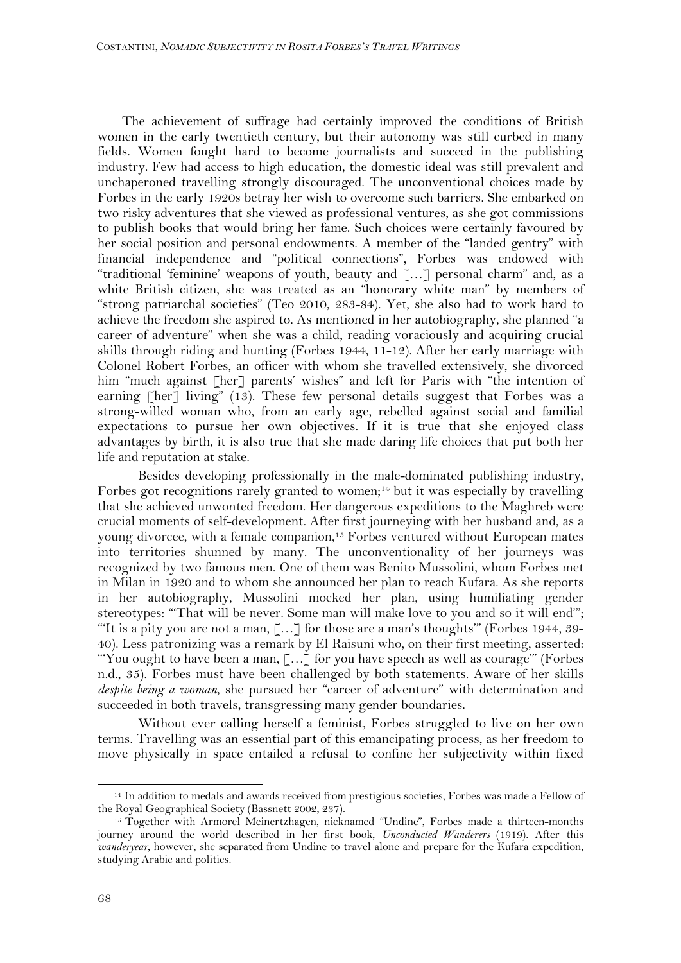The achievement of suffrage had certainly improved the conditions of British women in the early twentieth century, but their autonomy was still curbed in many fields. Women fought hard to become journalists and succeed in the publishing industry. Few had access to high education, the domestic ideal was still prevalent and unchaperoned travelling strongly discouraged. The unconventional choices made by Forbes in the early 1920s betray her wish to overcome such barriers. She embarked on two risky adventures that she viewed as professional ventures, as she got commissions to publish books that would bring her fame. Such choices were certainly favoured by her social position and personal endowments. A member of the "landed gentry" with financial independence and "political connections", Forbes was endowed with "traditional 'feminine' weapons of youth, beauty and […] personal charm" and, as a white British citizen, she was treated as an "honorary white man" by members of "strong patriarchal societies" (Teo 2010, 283-84). Yet, she also had to work hard to achieve the freedom she aspired to. As mentioned in her autobiography, she planned "a career of adventure" when she was a child, reading voraciously and acquiring crucial skills through riding and hunting (Forbes 1944, 11-12). After her early marriage with Colonel Robert Forbes, an officer with whom she travelled extensively, she divorced him "much against [her] parents' wishes" and left for Paris with "the intention of earning [her] living" (13). These few personal details suggest that Forbes was a strong-willed woman who, from an early age, rebelled against social and familial expectations to pursue her own objectives. If it is true that she enjoyed class advantages by birth, it is also true that she made daring life choices that put both her life and reputation at stake.

Besides developing professionally in the male-dominated publishing industry, Forbes got recognitions rarely granted to women;<sup>14</sup> but it was especially by travelling that she achieved unwonted freedom. Her dangerous expeditions to the Maghreb were crucial moments of self-development. After first journeying with her husband and, as a young divorcee, with a female companion, <sup>15</sup> Forbes ventured without European mates into territories shunned by many. The unconventionality of her journeys was recognized by two famous men. One of them was Benito Mussolini, whom Forbes met in Milan in 1920 and to whom she announced her plan to reach Kufara. As she reports in her autobiography, Mussolini mocked her plan, using humiliating gender stereotypes: "'That will be never. Some man will make love to you and so it will end'"; "'It is a pity you are not a man, […] for those are a man's thoughts'" (Forbes 1944, 39- 40). Less patronizing was a remark by El Raisuni who, on their first meeting, asserted: "'You ought to have been a man, […] for you have speech as well as courage'" (Forbes n.d., 35). Forbes must have been challenged by both statements. Aware of her skills *despite being a woman*, she pursued her "career of adventure" with determination and succeeded in both travels, transgressing many gender boundaries.

Without ever calling herself a feminist, Forbes struggled to live on her own terms. Travelling was an essential part of this emancipating process, as her freedom to move physically in space entailed a refusal to confine her subjectivity within fixed

<sup>14</sup> In addition to medals and awards received from prestigious societies, Forbes was made a Fellow of the Royal Geographical Society (Bassnett 2002, 237).

<sup>15</sup> Together with Armorel Meinertzhagen, nicknamed "Undine", Forbes made a thirteen-months journey around the world described in her first book, *Unconducted Wanderers* (1919). After this *wanderyear*, however, she separated from Undine to travel alone and prepare for the Kufara expedition, studying Arabic and politics.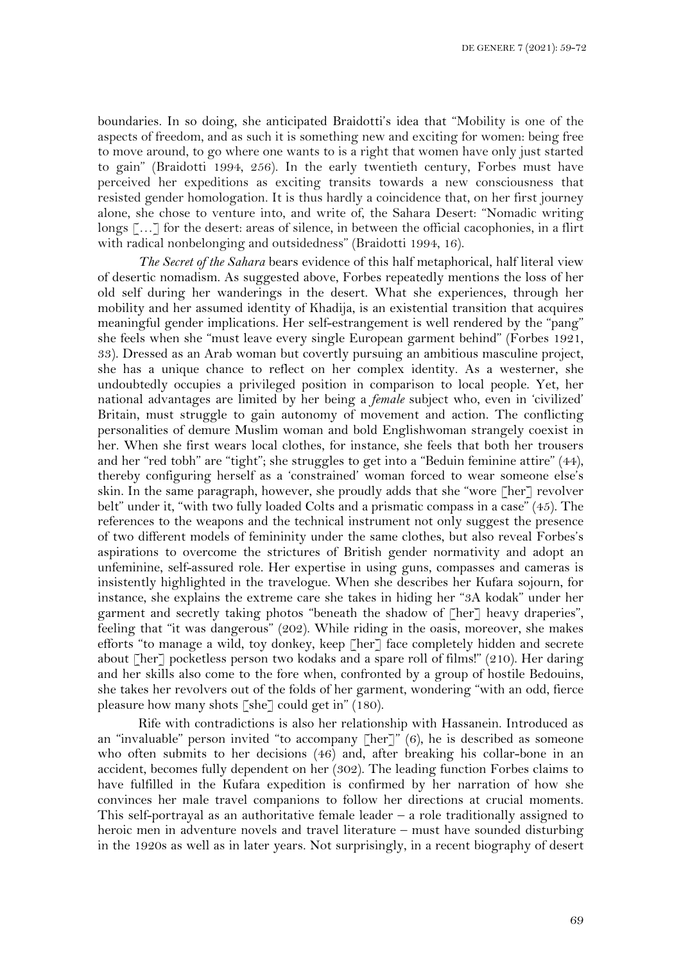boundaries. In so doing, she anticipated Braidotti's idea that "Mobility is one of the aspects of freedom, and as such it is something new and exciting for women: being free to move around, to go where one wants to is a right that women have only just started to gain" (Braidotti 1994, 256). In the early twentieth century, Forbes must have perceived her expeditions as exciting transits towards a new consciousness that resisted gender homologation. It is thus hardly a coincidence that, on her first journey alone, she chose to venture into, and write of, the Sahara Desert: "Nomadic writing longs […] for the desert: areas of silence, in between the official cacophonies, in a flirt with radical nonbelonging and outsidedness" (Braidotti 1994, 16).

*The Secret of the Sahara* bears evidence of this half metaphorical, half literal view of desertic nomadism. As suggested above, Forbes repeatedly mentions the loss of her old self during her wanderings in the desert. What she experiences, through her mobility and her assumed identity of Khadija, is an existential transition that acquires meaningful gender implications. Her self-estrangement is well rendered by the "pang" she feels when she "must leave every single European garment behind" (Forbes 1921, 33). Dressed as an Arab woman but covertly pursuing an ambitious masculine project, she has a unique chance to reflect on her complex identity. As a westerner, she undoubtedly occupies a privileged position in comparison to local people. Yet, her national advantages are limited by her being a *female* subject who, even in 'civilized' Britain, must struggle to gain autonomy of movement and action. The conflicting personalities of demure Muslim woman and bold Englishwoman strangely coexist in her. When she first wears local clothes, for instance, she feels that both her trousers and her "red tobh" are "tight"; she struggles to get into a "Beduin feminine attire" (44), thereby configuring herself as a 'constrained' woman forced to wear someone else's skin. In the same paragraph, however, she proudly adds that she "wore [her] revolver belt" under it, "with two fully loaded Colts and a prismatic compass in a case" (45). The references to the weapons and the technical instrument not only suggest the presence of two different models of femininity under the same clothes, but also reveal Forbes's aspirations to overcome the strictures of British gender normativity and adopt an unfeminine, self-assured role. Her expertise in using guns, compasses and cameras is insistently highlighted in the travelogue. When she describes her Kufara sojourn, for instance, she explains the extreme care she takes in hiding her "3A kodak" under her garment and secretly taking photos "beneath the shadow of [her] heavy draperies", feeling that "it was dangerous" (202). While riding in the oasis, moreover, she makes efforts "to manage a wild, toy donkey, keep [her] face completely hidden and secrete about [her] pocketless person two kodaks and a spare roll of films!" (210). Her daring and her skills also come to the fore when, confronted by a group of hostile Bedouins, she takes her revolvers out of the folds of her garment, wondering "with an odd, fierce pleasure how many shots [she] could get in" (180).

Rife with contradictions is also her relationship with Hassanein. Introduced as an "invaluable" person invited "to accompany [her]" (6), he is described as someone who often submits to her decisions (46) and, after breaking his collar-bone in an accident, becomes fully dependent on her (302). The leading function Forbes claims to have fulfilled in the Kufara expedition is confirmed by her narration of how she convinces her male travel companions to follow her directions at crucial moments. This self-portrayal as an authoritative female leader – a role traditionally assigned to heroic men in adventure novels and travel literature – must have sounded disturbing in the 1920s as well as in later years. Not surprisingly, in a recent biography of desert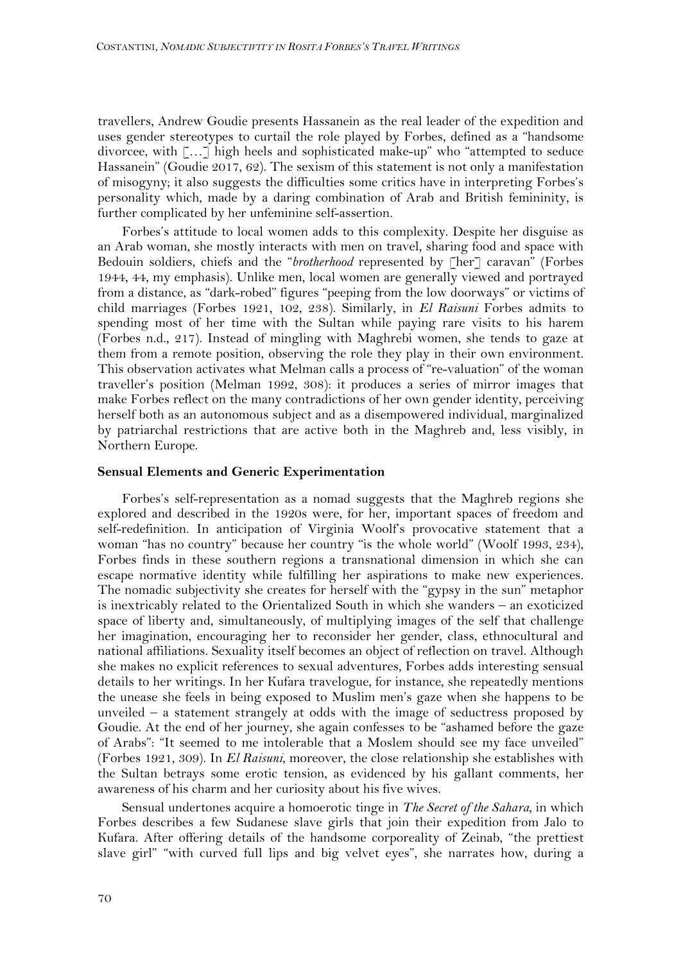travellers, Andrew Goudie presents Hassanein as the real leader of the expedition and uses gender stereotypes to curtail the role played by Forbes, defined as a "handsome divorcee, with […] high heels and sophisticated make-up" who "attempted to seduce Hassanein" (Goudie 2017, 62). The sexism of this statement is not only a manifestation of misogyny; it also suggests the difficulties some critics have in interpreting Forbes's personality which, made by a daring combination of Arab and British femininity, is further complicated by her unfeminine self-assertion.

Forbes's attitude to local women adds to this complexity. Despite her disguise as an Arab woman, she mostly interacts with men on travel, sharing food and space with Bedouin soldiers, chiefs and the "*brotherhood* represented by [her] caravan" (Forbes 1944, 44, my emphasis). Unlike men, local women are generally viewed and portrayed from a distance, as "dark-robed" figures "peeping from the low doorways" or victims of child marriages (Forbes 1921, 102, 238). Similarly, in *El Raisuni* Forbes admits to spending most of her time with the Sultan while paying rare visits to his harem (Forbes n.d., 217). Instead of mingling with Maghrebi women, she tends to gaze at them from a remote position, observing the role they play in their own environment. This observation activates what Melman calls a process of "re-valuation" of the woman traveller's position (Melman 1992, 308): it produces a series of mirror images that make Forbes reflect on the many contradictions of her own gender identity, perceiving herself both as an autonomous subject and as a disempowered individual, marginalized by patriarchal restrictions that are active both in the Maghreb and, less visibly, in Northern Europe.

#### **Sensual Elements and Generic Experimentation**

Forbes's self-representation as a nomad suggests that the Maghreb regions she explored and described in the 1920s were, for her, important spaces of freedom and self-redefinition. In anticipation of Virginia Woolf's provocative statement that a woman "has no country" because her country "is the whole world" (Woolf 1993, 234), Forbes finds in these southern regions a transnational dimension in which she can escape normative identity while fulfilling her aspirations to make new experiences. The nomadic subjectivity she creates for herself with the "gypsy in the sun" metaphor is inextricably related to the Orientalized South in which she wanders – an exoticized space of liberty and, simultaneously, of multiplying images of the self that challenge her imagination, encouraging her to reconsider her gender, class, ethnocultural and national affiliations. Sexuality itself becomes an object of reflection on travel. Although she makes no explicit references to sexual adventures, Forbes adds interesting sensual details to her writings. In her Kufara travelogue, for instance, she repeatedly mentions the unease she feels in being exposed to Muslim men's gaze when she happens to be unveiled – a statement strangely at odds with the image of seductress proposed by Goudie. At the end of her journey, she again confesses to be "ashamed before the gaze of Arabs": "It seemed to me intolerable that a Moslem should see my face unveiled" (Forbes 1921, 309). In *El Raisuni*, moreover, the close relationship she establishes with the Sultan betrays some erotic tension, as evidenced by his gallant comments, her awareness of his charm and her curiosity about his five wives.

Sensual undertones acquire a homoerotic tinge in *The Secret of the Sahara*, in which Forbes describes a few Sudanese slave girls that join their expedition from Jalo to Kufara. After offering details of the handsome corporeality of Zeinab, "the prettiest slave girl" "with curved full lips and big velvet eyes", she narrates how, during a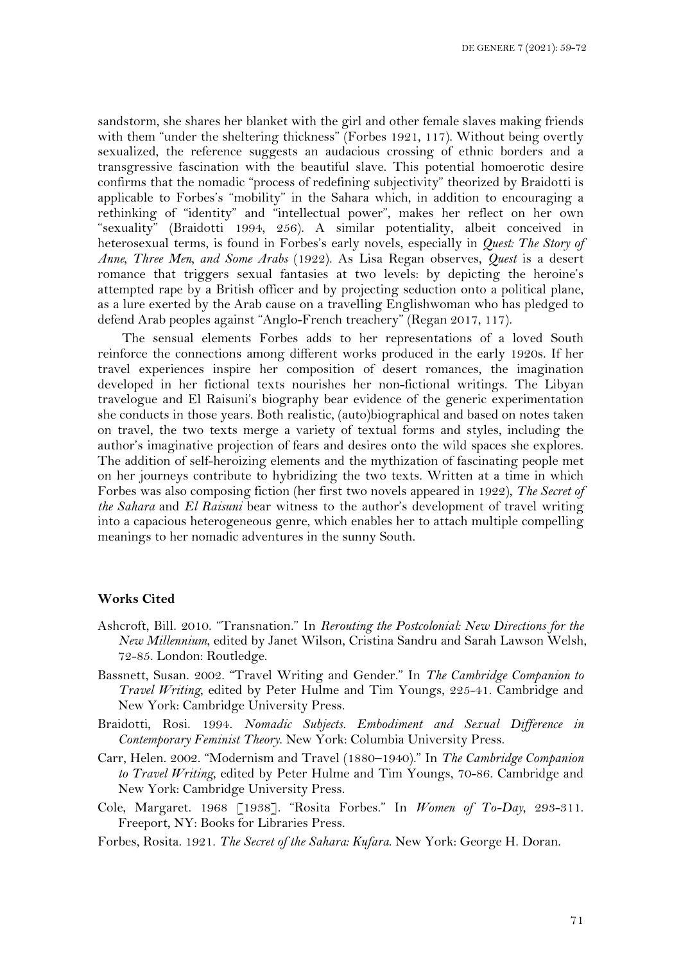sandstorm, she shares her blanket with the girl and other female slaves making friends with them "under the sheltering thickness" (Forbes 1921, 117). Without being overtly sexualized, the reference suggests an audacious crossing of ethnic borders and a transgressive fascination with the beautiful slave. This potential homoerotic desire confirms that the nomadic "process of redefining subjectivity" theorized by Braidotti is applicable to Forbes's "mobility" in the Sahara which, in addition to encouraging a rethinking of "identity" and "intellectual power", makes her reflect on her own "sexuality" (Braidotti 1994, 256). A similar potentiality, albeit conceived in heterosexual terms, is found in Forbes's early novels, especially in *Quest: The Story of Anne, Three Men, and Some Arabs* (1922). As Lisa Regan observes, *Quest* is a desert romance that triggers sexual fantasies at two levels: by depicting the heroine's attempted rape by a British officer and by projecting seduction onto a political plane, as a lure exerted by the Arab cause on a travelling Englishwoman who has pledged to defend Arab peoples against "Anglo-French treachery" (Regan 2017, 117).

The sensual elements Forbes adds to her representations of a loved South reinforce the connections among different works produced in the early 1920s. If her travel experiences inspire her composition of desert romances, the imagination developed in her fictional texts nourishes her non-fictional writings. The Libyan travelogue and El Raisuni's biography bear evidence of the generic experimentation she conducts in those years. Both realistic, (auto)biographical and based on notes taken on travel, the two texts merge a variety of textual forms and styles, including the author's imaginative projection of fears and desires onto the wild spaces she explores. The addition of self-heroizing elements and the mythization of fascinating people met on her journeys contribute to hybridizing the two texts. Written at a time in which Forbes was also composing fiction (her first two novels appeared in 1922), *The Secret of the Sahara* and *El Raisuni* bear witness to the author's development of travel writing into a capacious heterogeneous genre, which enables her to attach multiple compelling meanings to her nomadic adventures in the sunny South.

#### **Works Cited**

- Ashcroft, Bill. 2010. "Transnation." In *Rerouting the Postcolonial: New Directions for the New Millennium*, edited by Janet Wilson, Cristina Sandru and Sarah Lawson Welsh, 72-85. London: Routledge.
- Bassnett, Susan. 2002. "Travel Writing and Gender." In *The Cambridge Companion to Travel Writing*, edited by Peter Hulme and Tim Youngs, 225-41. Cambridge and New York: Cambridge University Press.
- Braidotti, Rosi. 1994. *Nomadic Subjects. Embodiment and Sexual Difference in Contemporary Feminist Theory*. New York: Columbia University Press.
- Carr, Helen. 2002. "Modernism and Travel (1880–1940)." In *The Cambridge Companion to Travel Writing*, edited by Peter Hulme and Tim Youngs, 70-86. Cambridge and New York: Cambridge University Press.
- Cole, Margaret. 1968 [1938]. "Rosita Forbes." In *Women of To-Day*, 293-311. Freeport, NY: Books for Libraries Press.
- Forbes, Rosita. 1921. *The Secret of the Sahara: Kufara*. New York: George H. Doran.